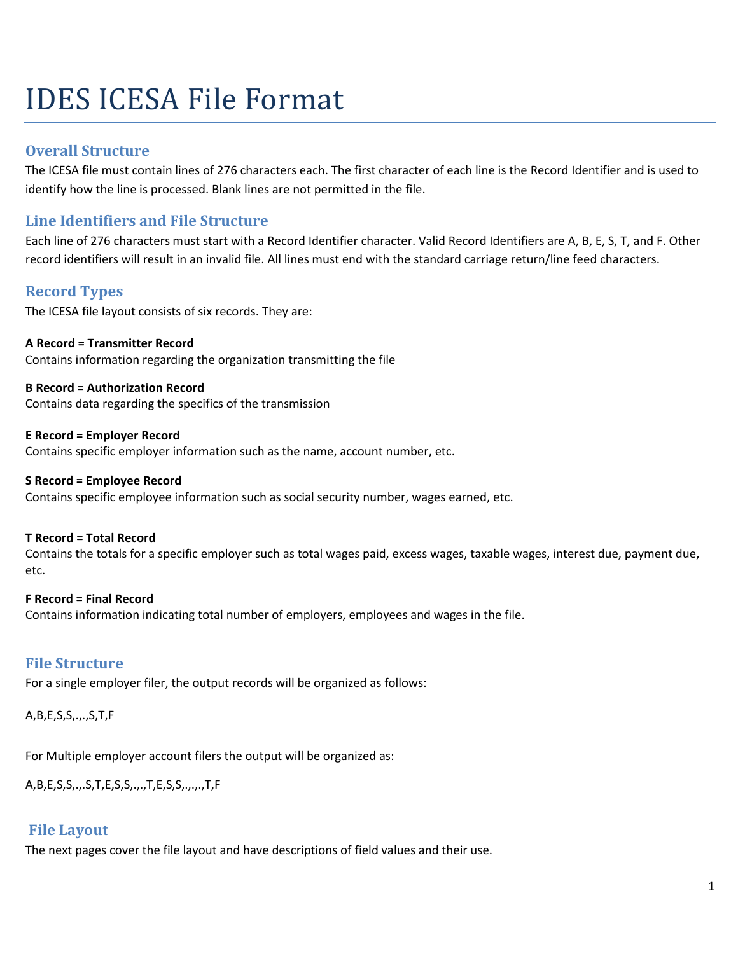# IDES ICESA File Format

### **Overall Structure**

The ICESA file must contain lines of 276 characters each. The first character of each line is the Record Identifier and is used to identify how the line is processed. Blank lines are not permitted in the file.

### **Line Identifiers and File Structure**

Each line of 276 characters must start with a Record Identifier character. Valid Record Identifiers are A, B, E, S, T, and F. Other record identifiers will result in an invalid file. All lines must end with the standard carriage return/line feed characters.

### **Record Types**

The ICESA file layout consists of six records. They are:

**A Record = Transmitter Record** Contains information regarding the organization transmitting the file

**B Record = Authorization Record** Contains data regarding the specifics of the transmission

**E Record = Employer Record** Contains specific employer information such as the name, account number, etc.

### **S Record = Employee Record**

Contains specific employee information such as social security number, wages earned, etc.

### **T Record = Total Record**

Contains the totals for a specific employer such as total wages paid, excess wages, taxable wages, interest due, payment due, etc.

### **F Record = Final Record**

Contains information indicating total number of employers, employees and wages in the file.

### **File Structure**

For a single employer filer, the output records will be organized as follows:

### A,B,E,S,S,.,.,S,T,F

For Multiple employer account filers the output will be organized as:

A,B,E,S,S,.,.S,T,E,S,S,.,.,T,E,S,S,.,.,.,T,F

### **File Layout**

The next pages cover the file layout and have descriptions of field values and their use.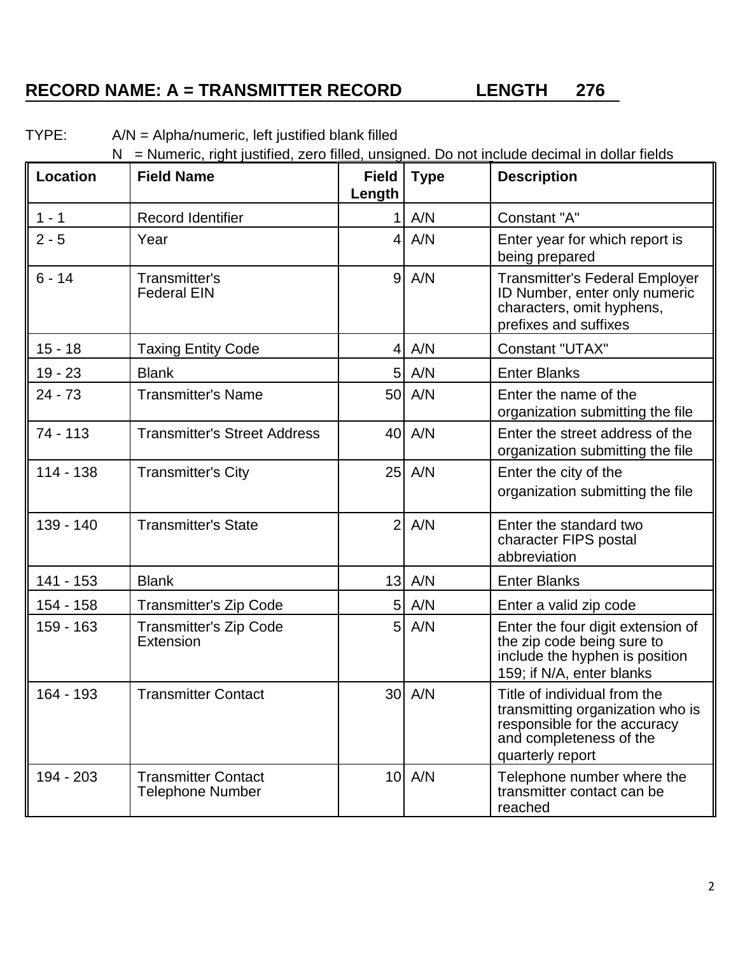### **RECORD NAME: A = TRANSMITTER RECORD LENGTH 276**

 $N =$  Numeric, right justified, zero filled, unsigned. Do not include decimal in dollar fields **Location Field Name Field Type Description Length** 1 - 1 Record Identifier 1 4 A/N Constant "A" 2 - 5 Year 1980 | Year 1980 | March 2 - 5 | March 1980 | March 2 - 5 | March 1980 | March 1980 | March 1980 | March 1980 | March 1980 | March 1980 | March 1980 | March 1980 | March 1980 | March 1980 | March 1980 | March 19 being prepared 6 - 14 Transmitter's 14 Transmitter's Federal Employer<br>
Federal EIN Transmitter's Federal EIN ID Number, enter only numeric characters, omit hyphens, prefixes and suffixes 15 - 18 | Taxing Entity Code | 4 A/N | Constant "UTAX" 19 - 23 Blank 5 A/N Enter Blanks 24 - 73 Transmitter's Name  $\vert$  50 A/N I Enter the name of the organization submitting the file 74 - 113 Transmitter's Street Address  $\begin{vmatrix} 40 & 40 & 1 \end{vmatrix}$  Enter the street address of the organization submitting the file 114 - 138 Transmitter's City | 25 A/N Fenter the city of the organization submitting the file 139 - 140 Transmitter's State The 2 A/N Enter the standard two character FIPS postal abbreviation 141 - 153 Blank 13 A/N Enter Blanks 154 - 158 Transmitter's Zip Code 5 A/N Enter a valid zip code 159 - 163 Transmitter's Zip Code  $\begin{array}{|c|c|c|c|c|c|c|c|c|} \hline \text{159 - 163} & \text{159 - 163} \\ \text{Extension} & \text{159 - 163} & \text{150 - 163} \\ \hline \end{array}$ the zip code being sure to include the hyphen is position 159; if N/A, enter blanks 164 - 193 Transmitter Contact 30 A/N Title of individual from the transmitting organization who is responsible for the accuracy and completeness of the quarterly report 194 - 203 Transmitter Contact 10 A/N Telephone number where the<br>Telephone Number 10 A/N Telephone Number transmitter contact can be reached

TYPE: A/N = Alpha/numeric, left justified blank filled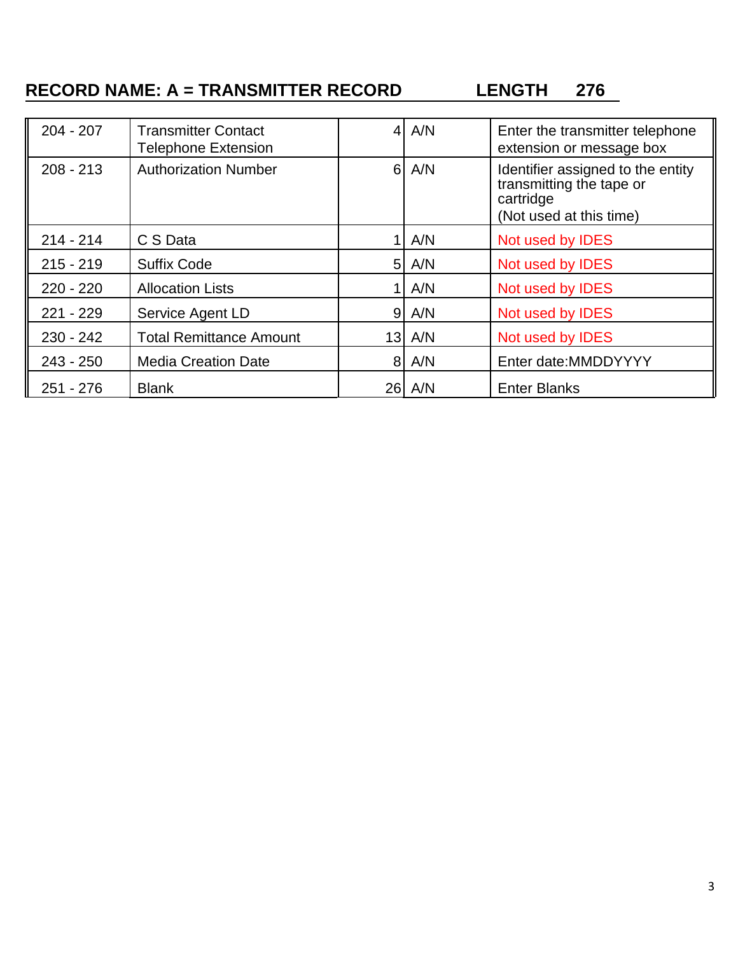## **RECORD NAME: A = TRANSMITTER RECORD LENGTH 276**

| $204 - 207$ | <b>Transmitter Contact</b><br><b>Telephone Extension</b> |                | $4$ A/N  | Enter the transmitter telephone<br>extension or message box                                           |
|-------------|----------------------------------------------------------|----------------|----------|-------------------------------------------------------------------------------------------------------|
| $208 - 213$ | <b>Authorization Number</b>                              | 6 <sup>1</sup> | A/N      | Identifier assigned to the entity<br>transmitting the tape or<br>cartridge<br>(Not used at this time) |
| $214 - 214$ | C S Data                                                 |                | A/N      | Not used by <b>IDES</b>                                                                               |
| $215 - 219$ | <b>Suffix Code</b>                                       | 5 <sup>1</sup> | A/N      | Not used by <b>IDES</b>                                                                               |
| $220 - 220$ | <b>Allocation Lists</b>                                  |                | A/N      | Not used by <b>IDES</b>                                                                               |
| $221 - 229$ | Service Agent LD                                         | 9 <sub>l</sub> | A/N      | Not used by <b>IDES</b>                                                                               |
| $230 - 242$ | <b>Total Remittance Amount</b>                           |                | $13$ A/N | Not used by <b>IDES</b>                                                                               |
| $243 - 250$ | <b>Media Creation Date</b>                               |                | 8 A/N    | Enter date: MMDDYYYY                                                                                  |
| $251 - 276$ | <b>Blank</b>                                             |                | 26 A/N   | <b>Enter Blanks</b>                                                                                   |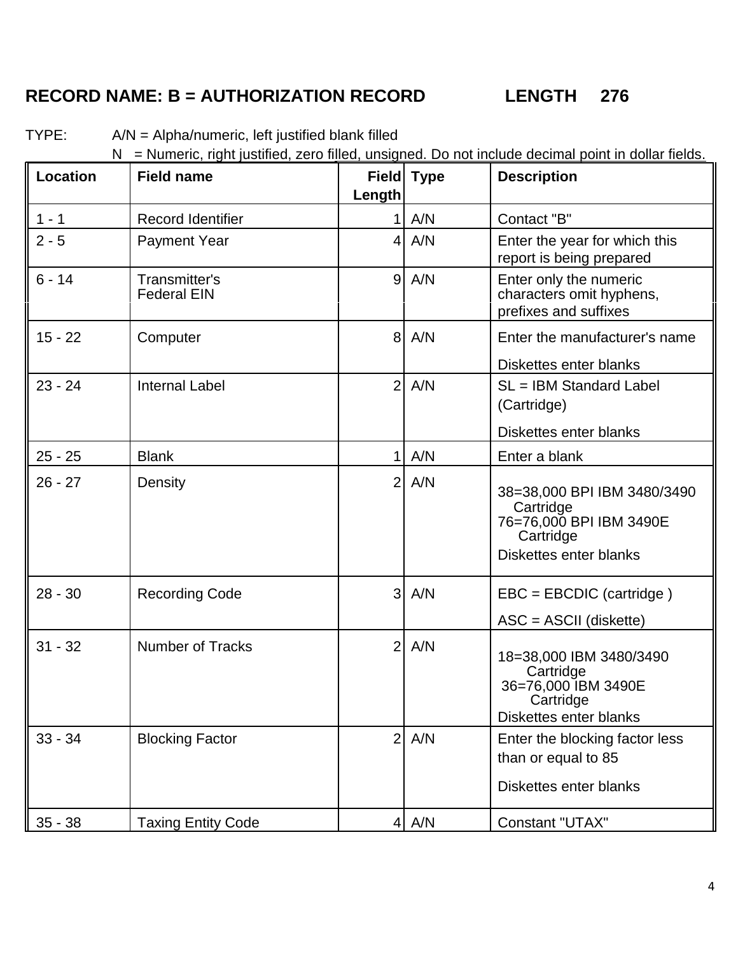### **RECORD NAME: B = AUTHORIZATION RECORD LENGTH 276**

**Location Field name Field Type Description Length** 1 - 1 Record Identifier 1 A/N Contact "B" 2 - 5 | Payment Year | 4 A/N | Enter the year for which this report is being prepared 6 - 14 Transmitter's  $\begin{array}{|c|c|c|c|c|c|c|c|} \hline \text{6 - 14} & \text{Transmitter's} & & & 9 & \text{A/N} & & \text{Enter only the numeric} \\\hline \text{Federal FIN} & & & & \text{charcters omit hyohen} \\\hline \end{array}$ characters omit hyphens, prefixes and suffixes 15 - 22 Computer 15 - 22 Computer 15 - 22 Computer 15 - 22 Computer Diskettes enter blanks 23 - 24 Internal Label 2 A/N SL = IBM Standard Label (Cartridge) Diskettes enter blanks 25 - 25 Blank 1 A/N Enter a blank 26 - 27 Density 2 A/N  $38=38.000$  BPI IBM 3480/3490 **Cartridge** 76=76,000 BPI IBM 3490E **Cartridge** Diskettes enter blanks 28 - 30 Recording Code  $\begin{vmatrix} 3 & A/N \end{vmatrix}$  EBC = EBCDIC (cartridge ) ASC = ASCII (diskette) 31 - 32 Number of Tracks 2 A/N 18=38,000 IBM 3480/3490 **Cartridge** 36=76,000 IBM 3490E **Cartridge** Diskettes enter blanks 33 - 34 Blocking Factor 2 A/N Enter the blocking factor less than or equal to 85 Diskettes enter blanks

35 - 38 Taxing Entity Code 1 4 A/N Constant "UTAX"

TYPE: A/N = Alpha/numeric, left justified blank filled

N = Numeric, right justified, zero filled, unsigned. Do not include decimal point in dollar fields.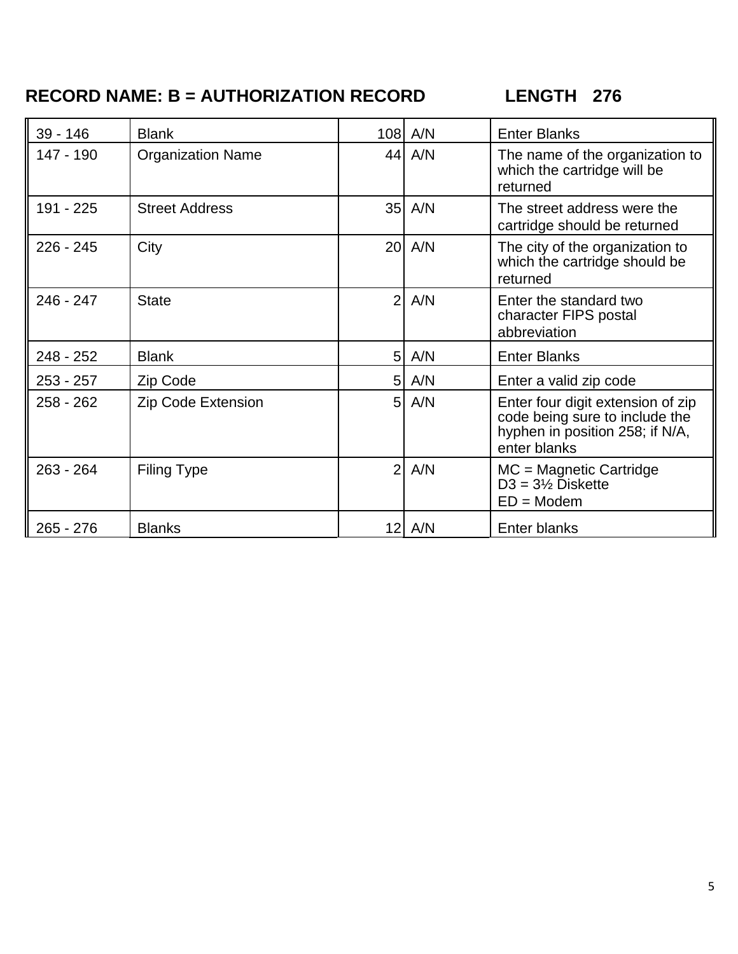## **RECORD NAME: B = AUTHORIZATION RECORD LENGTH 276**

| $39 - 146$  | <b>Blank</b>              | 108            | A/N    | <b>Enter Blanks</b>                                                                                                    |
|-------------|---------------------------|----------------|--------|------------------------------------------------------------------------------------------------------------------------|
| 147 - 190   | <b>Organization Name</b>  |                | 44 A/N | The name of the organization to<br>which the cartridge will be<br>returned                                             |
| 191 - 225   | <b>Street Address</b>     |                | 35 A/N | The street address were the<br>cartridge should be returned                                                            |
| $226 - 245$ | City                      |                | 20 A/N | The city of the organization to<br>which the cartridge should be<br>returned                                           |
| $246 - 247$ | <b>State</b>              | $\overline{2}$ | A/N    | Enter the standard two<br>character FIPS postal<br>abbreviation                                                        |
| 248 - 252   | <b>Blank</b>              | 5 <sup>1</sup> | A/N    | <b>Enter Blanks</b>                                                                                                    |
| $253 - 257$ | Zip Code                  | 51             | A/N    | Enter a valid zip code                                                                                                 |
| $258 - 262$ | <b>Zip Code Extension</b> | 5 <sup>1</sup> | A/N    | Enter four digit extension of zip<br>code being sure to include the<br>hyphen in position 258; if N/A,<br>enter blanks |
| $263 - 264$ | <b>Filing Type</b>        | $\overline{2}$ | A/N    | $MC = Magnetic$ Cartridge<br>$D3 = 3\frac{1}{2}$ Diskette<br>$ED = Modem$                                              |
| $265 - 276$ | <b>Blanks</b>             |                | 12 A/N | Enter blanks                                                                                                           |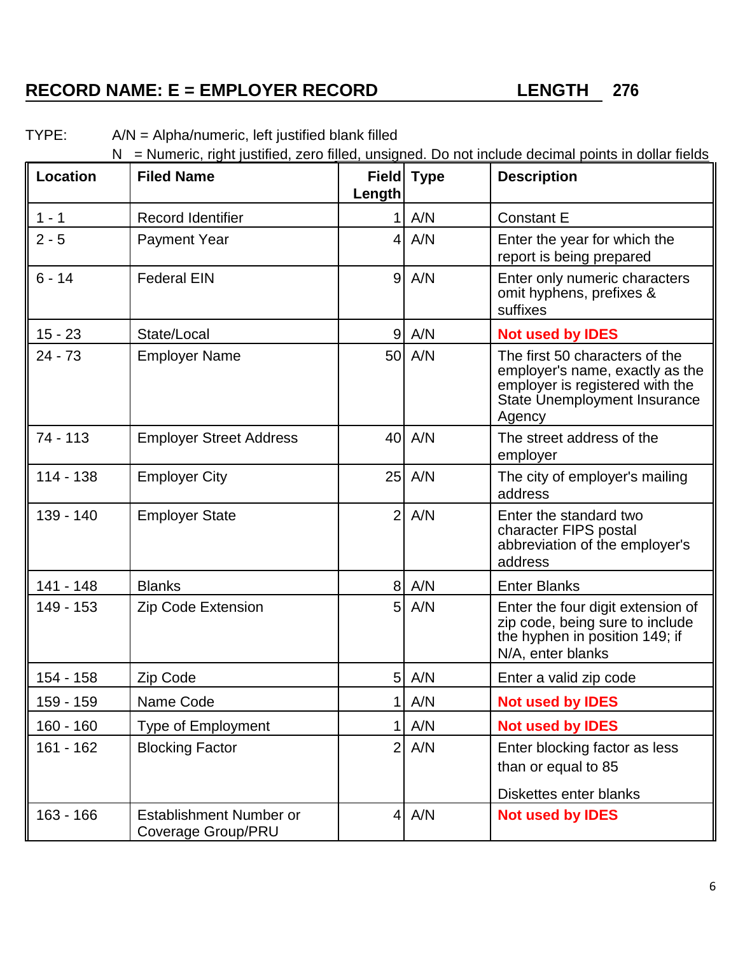## **RECORD NAME: E = EMPLOYER RECORD LENGTH 276**

| <b>Location</b> | <b>Filed Name</b>                                    |                | Field Type | <b>Description</b>                                                                                                                             |
|-----------------|------------------------------------------------------|----------------|------------|------------------------------------------------------------------------------------------------------------------------------------------------|
|                 |                                                      | Length         |            |                                                                                                                                                |
| $1 - 1$         | <b>Record Identifier</b>                             | 1.             | A/N        | <b>Constant E</b>                                                                                                                              |
| $2 - 5$         | <b>Payment Year</b>                                  | $\overline{4}$ | A/N        | Enter the year for which the<br>report is being prepared                                                                                       |
| $6 - 14$        | <b>Federal EIN</b>                                   | $\overline{9}$ | A/N        | Enter only numeric characters<br>omit hyphens, prefixes &<br>suffixes                                                                          |
| $15 - 23$       | State/Local                                          | $\overline{9}$ | A/N        | <b>Not used by IDES</b>                                                                                                                        |
| $24 - 73$       | <b>Employer Name</b>                                 | 50             | A/N        | The first 50 characters of the<br>employer's name, exactly as the<br>employer is registered with the<br>State Unemployment Insurance<br>Agency |
| $74 - 113$      | <b>Employer Street Address</b>                       |                | 40 A/N     | The street address of the<br>employer                                                                                                          |
| $114 - 138$     | <b>Employer City</b>                                 | 25             | A/N        | The city of employer's mailing<br>address                                                                                                      |
| 139 - 140       | <b>Employer State</b>                                | $\overline{2}$ | A/N        | Enter the standard two<br>character FIPS postal<br>abbreviation of the employer's<br>address                                                   |
| 141 - 148       | <b>Blanks</b>                                        | 8 <sup>1</sup> | A/N        | <b>Enter Blanks</b>                                                                                                                            |
| 149 - 153       | <b>Zip Code Extension</b>                            | 5              | A/N        | Enter the four digit extension of<br>zip code, being sure to include<br>the hyphen in position 149; if<br>N/A, enter blanks                    |
| 154 - 158       | Zip Code                                             | 51             | A/N        | Enter a valid zip code                                                                                                                         |
| 159 - 159       | Name Code                                            | 1              | A/N        | <b>Not used by IDES</b>                                                                                                                        |
| $160 - 160$     | <b>Type of Employment</b>                            | 1              | A/N        | <b>Not used by IDES</b>                                                                                                                        |
| $161 - 162$     | <b>Blocking Factor</b>                               | $\overline{2}$ | A/N        | Enter blocking factor as less                                                                                                                  |
|                 |                                                      |                |            | than or equal to 85                                                                                                                            |
|                 |                                                      |                |            | Diskettes enter blanks                                                                                                                         |
| $163 - 166$     | <b>Establishment Number or</b><br>Coverage Group/PRU | $\overline{4}$ | A/N        | <b>Not used by IDES</b>                                                                                                                        |

TYPE: A/N = Alpha/numeric, left justified blank filled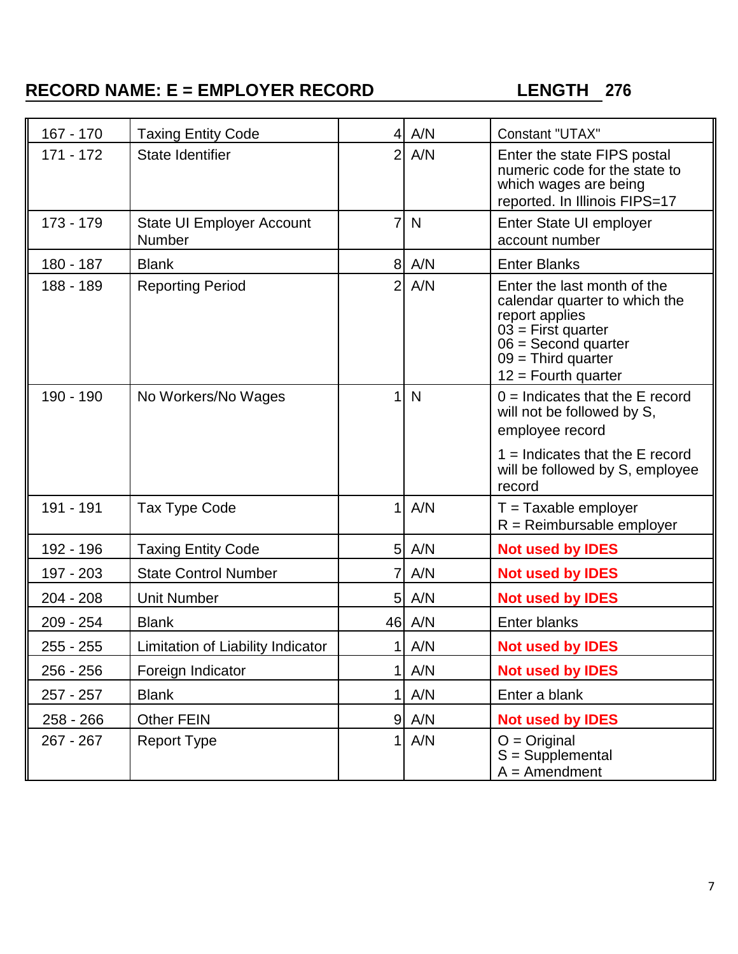## **RECORD NAME: E = EMPLOYER RECORD LENGTH 276**

| 167 - 170   | <b>Taxing Entity Code</b>                  | $\vert$        | A/N          | <b>Constant "UTAX"</b>                                                                                                                                                           |
|-------------|--------------------------------------------|----------------|--------------|----------------------------------------------------------------------------------------------------------------------------------------------------------------------------------|
| $171 - 172$ | State Identifier                           | $\overline{2}$ | A/N          | Enter the state FIPS postal<br>numeric code for the state to<br>which wages are being<br>reported. In Illinois FIPS=17                                                           |
| $173 - 179$ | State UI Employer Account<br><b>Number</b> | 7              | N            | Enter State UI employer<br>account number                                                                                                                                        |
| 180 - 187   | <b>Blank</b>                               | 8 <sup>1</sup> | A/N          | <b>Enter Blanks</b>                                                                                                                                                              |
| 188 - 189   | <b>Reporting Period</b>                    | $\overline{2}$ | A/N          | Enter the last month of the<br>calendar quarter to which the<br>report applies<br>$03$ = First quarter<br>$06 =$ Second quarter<br>$09$ = Third quarter<br>$12 =$ Fourth quarter |
| 190 - 190   | No Workers/No Wages                        | 1              | $\mathsf{N}$ | $0 =$ Indicates that the E record<br>will not be followed by S,<br>employee record                                                                                               |
|             |                                            |                |              | $1 =$ Indicates that the E record<br>will be followed by S, employee<br>record                                                                                                   |
| 191 - 191   | Tax Type Code                              | 1              | A/N          | $T =$ Taxable employer<br>$R =$ Reimbursable employer                                                                                                                            |
| 192 - 196   | <b>Taxing Entity Code</b>                  | 5 <sub>l</sub> | A/N          | <b>Not used by IDES</b>                                                                                                                                                          |
| 197 - 203   | <b>State Control Number</b>                | 7              | A/N          | <b>Not used by IDES</b>                                                                                                                                                          |
| $204 - 208$ | <b>Unit Number</b>                         | 5 <sup>1</sup> | A/N          | <b>Not used by IDES</b>                                                                                                                                                          |
| $209 - 254$ | <b>Blank</b>                               |                | 46 A/N       | <b>Enter blanks</b>                                                                                                                                                              |
| $255 - 255$ | Limitation of Liability Indicator          |                | A/N          | <b>Not used by IDES</b>                                                                                                                                                          |
| 256 - 256   | Foreign Indicator                          | 1              | A/N          | <b>Not used by IDES</b>                                                                                                                                                          |
| 257 - 257   | <b>Blank</b>                               | 1              | A/N          | Enter a blank                                                                                                                                                                    |
| 258 - 266   | Other FEIN                                 | 9 <sub>l</sub> | A/N          | <b>Not used by IDES</b>                                                                                                                                                          |
| 267 - 267   | <b>Report Type</b>                         | 1              | A/N          | $O = Original$<br>$S =$ Supplemental<br>$A =$ Amendment                                                                                                                          |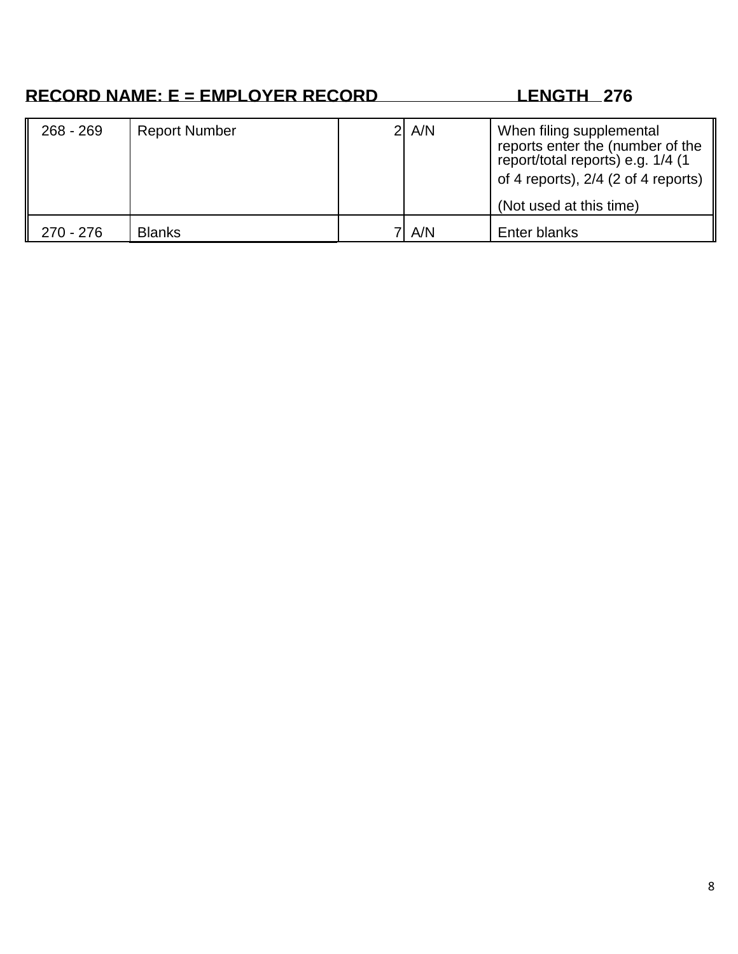## **RECORD NAME: E = EMPLOYER RECORD LENGTH 276**

| $268 - 269$ | <b>Report Number</b> | $2$ A/N | When filing supplemental<br>reports enter the (number of the<br>report/total reports) e.g. 1/4 (1<br>of 4 reports), $2/4$ (2 of 4 reports)<br>(Not used at this time) |
|-------------|----------------------|---------|-----------------------------------------------------------------------------------------------------------------------------------------------------------------------|
| $270 - 276$ | <b>Blanks</b>        | A/N     | Enter blanks                                                                                                                                                          |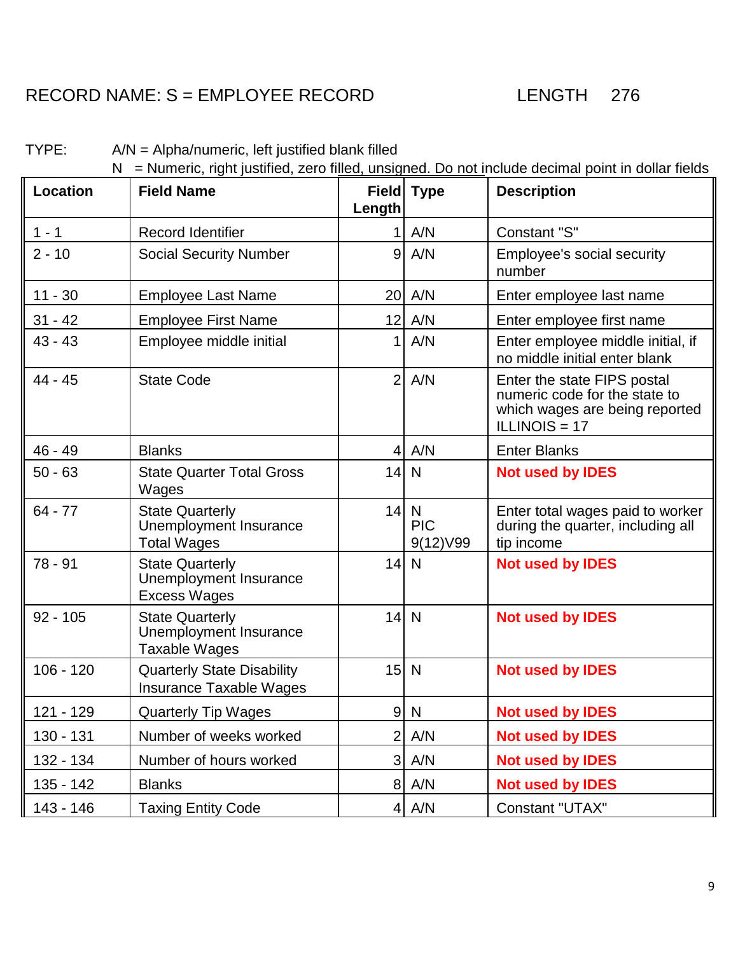## RECORD NAME: S = EMPLOYEE RECORD LENGTH 276

TYPE: A/N = Alpha/numeric, left justified blank filled

| <b>Location</b> | <b>Field Name</b>                                                        | Length         | Field Type                   | <b>Description</b>                                                                                              |
|-----------------|--------------------------------------------------------------------------|----------------|------------------------------|-----------------------------------------------------------------------------------------------------------------|
| $1 - 1$         | <b>Record Identifier</b>                                                 |                | A/N                          | Constant "S"                                                                                                    |
| $2 - 10$        | <b>Social Security Number</b>                                            | 9              | A/N                          | Employee's social security<br>number                                                                            |
| $11 - 30$       | <b>Employee Last Name</b>                                                | 20             | A/N                          | Enter employee last name                                                                                        |
| $31 - 42$       | <b>Employee First Name</b>                                               | 12             | A/N                          | Enter employee first name                                                                                       |
| $43 - 43$       | Employee middle initial                                                  | 1              | A/N                          | Enter employee middle initial, if<br>no middle initial enter blank                                              |
| 44 - 45         | <b>State Code</b>                                                        | $\overline{2}$ | A/N                          | Enter the state FIPS postal<br>numeric code for the state to<br>which wages are being reported<br>ILLINOIS = 17 |
| $46 - 49$       | <b>Blanks</b>                                                            | 4              | A/N                          | <b>Enter Blanks</b>                                                                                             |
| $50 - 63$       | <b>State Quarter Total Gross</b><br>Wages                                | 14             | N                            | <b>Not used by IDES</b>                                                                                         |
| $64 - 77$       | <b>State Quarterly</b><br>Unemployment Insurance<br><b>Total Wages</b>   | 14             | N<br><b>PIC</b><br>9(12) V99 | Enter total wages paid to worker<br>during the quarter, including all<br>tip income                             |
| $78 - 91$       | <b>State Quarterly</b><br>Unemployment Insurance<br><b>Excess Wages</b>  | 14             | N                            | <b>Not used by IDES</b>                                                                                         |
| $92 - 105$      | <b>State Quarterly</b><br>Unemployment Insurance<br><b>Taxable Wages</b> |                | $14$ N                       | <b>Not used by IDES</b>                                                                                         |
| $106 - 120$     | <b>Quarterly State Disability</b><br><b>Insurance Taxable Wages</b>      | 15             | N                            | <b>Not used by IDES</b>                                                                                         |
| 121 - 129       | <b>Quarterly Tip Wages</b>                                               |                | 9 N                          | <b>Not used by IDES</b>                                                                                         |
| 130 - 131       | Number of weeks worked                                                   | $\overline{2}$ | A/N                          | <b>Not used by IDES</b>                                                                                         |
| 132 - 134       | Number of hours worked                                                   | 3 <sup>1</sup> | A/N                          | <b>Not used by IDES</b>                                                                                         |
| 135 - 142       | <b>Blanks</b>                                                            | 8              | A/N                          | <b>Not used by IDES</b>                                                                                         |
| 143 - 146       | <b>Taxing Entity Code</b>                                                |                | $4$ A/N                      | Constant "UTAX"                                                                                                 |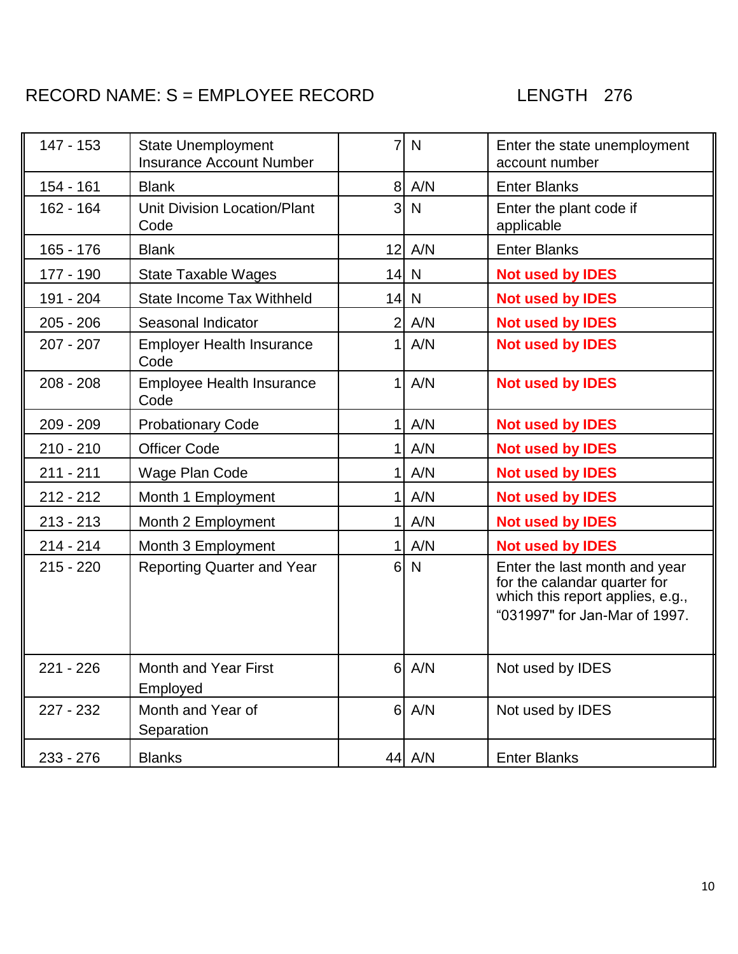## RECORD NAME: S = EMPLOYEE RECORD LENGTH 276

| $147 - 153$ | <b>State Unemployment</b><br><b>Insurance Account Number</b> | 7              | $\mathsf{N}$ | Enter the state unemployment<br>account number                                                                                     |
|-------------|--------------------------------------------------------------|----------------|--------------|------------------------------------------------------------------------------------------------------------------------------------|
| 154 - 161   | <b>Blank</b>                                                 | 8 <sup>1</sup> | A/N          | <b>Enter Blanks</b>                                                                                                                |
| $162 - 164$ | <b>Unit Division Location/Plant</b><br>Code                  | 3              | N            | Enter the plant code if<br>applicable                                                                                              |
| $165 - 176$ | <b>Blank</b>                                                 |                | 12 A/N       | <b>Enter Blanks</b>                                                                                                                |
| 177 - 190   | <b>State Taxable Wages</b>                                   |                | $14$ N       | <b>Not used by IDES</b>                                                                                                            |
| 191 - 204   | <b>State Income Tax Withheld</b>                             | 14             | N            | <b>Not used by IDES</b>                                                                                                            |
| $205 - 206$ | Seasonal Indicator                                           | $\overline{2}$ | A/N          | <b>Not used by IDES</b>                                                                                                            |
| $207 - 207$ | <b>Employer Health Insurance</b><br>Code                     | 1              | A/N          | <b>Not used by IDES</b>                                                                                                            |
| $208 - 208$ | <b>Employee Health Insurance</b><br>Code                     | 1              | A/N          | <b>Not used by IDES</b>                                                                                                            |
| $209 - 209$ | <b>Probationary Code</b>                                     | 1              | A/N          | <b>Not used by IDES</b>                                                                                                            |
| $210 - 210$ | <b>Officer Code</b>                                          |                | A/N          | <b>Not used by IDES</b>                                                                                                            |
| $211 - 211$ | Wage Plan Code                                               |                | A/N          | <b>Not used by IDES</b>                                                                                                            |
| $212 - 212$ | Month 1 Employment                                           |                | A/N          | <b>Not used by IDES</b>                                                                                                            |
| $213 - 213$ | Month 2 Employment                                           | 1              | A/N          | <b>Not used by IDES</b>                                                                                                            |
| $214 - 214$ | Month 3 Employment                                           |                | A/N          | <b>Not used by IDES</b>                                                                                                            |
| $215 - 220$ | <b>Reporting Quarter and Year</b>                            | 6 <sup>1</sup> | N            | Enter the last month and year<br>for the calandar quarter for<br>which this report applies, e.g.,<br>"031997" for Jan-Mar of 1997. |
| 221 - 226   | Month and Year First<br>Employed                             |                | $6$ A/N      | Not used by <b>IDES</b>                                                                                                            |
| 227 - 232   | Month and Year of<br>Separation                              |                | 6 A/N        | Not used by IDES                                                                                                                   |
| 233 - 276   | <b>Blanks</b>                                                |                | 44 A/N       | <b>Enter Blanks</b>                                                                                                                |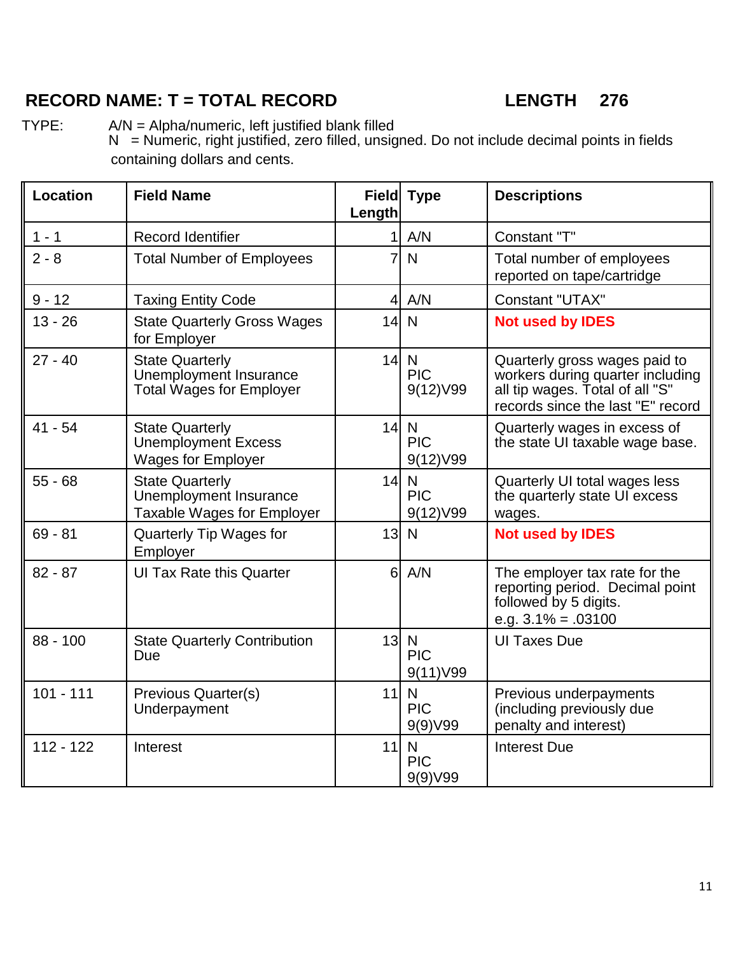### **RECORD NAME: T = TOTAL RECORD LENGTH 276**

TYPE: A/N = Alpha/numeric, left justified blank filled

N = Numeric, right justified, zero filled, unsigned. Do not include decimal points in fields containing dollars and cents.

| <b>Location</b> | <b>Field Name</b>                                                                   | Length         | Field Type                              | <b>Descriptions</b>                                                                                                                       |
|-----------------|-------------------------------------------------------------------------------------|----------------|-----------------------------------------|-------------------------------------------------------------------------------------------------------------------------------------------|
| $1 - 1$         | <b>Record Identifier</b>                                                            | 1              | A/N                                     | Constant "T"                                                                                                                              |
| $2 - 8$         | <b>Total Number of Employees</b>                                                    | 7              | $\mathsf{N}$                            | Total number of employees<br>reported on tape/cartridge                                                                                   |
| $9 - 12$        | <b>Taxing Entity Code</b>                                                           | $\overline{4}$ | A/N                                     | <b>Constant "UTAX"</b>                                                                                                                    |
| $13 - 26$       | <b>State Quarterly Gross Wages</b><br>for Employer                                  |                | $14$ N                                  | <b>Not used by IDES</b>                                                                                                                   |
| $27 - 40$       | <b>State Quarterly</b><br>Unemployment Insurance<br><b>Total Wages for Employer</b> |                | $14$ N<br><b>PIC</b><br>9(12) V99       | Quarterly gross wages paid to<br>workers during quarter including<br>all tip wages. Total of all "S"<br>records since the last "E" record |
| $41 - 54$       | <b>State Quarterly</b><br>Unemployment Excess<br><b>Wages for Employer</b>          | 14             | $\mathsf{N}$<br><b>PIC</b><br>9(12) V99 | Quarterly wages in excess of<br>the state UI taxable wage base.                                                                           |
| $55 - 68$       | <b>State Quarterly</b><br>Unemployment Insurance<br>Taxable Wages for Employer      |                | $14$ N<br><b>PIC</b><br>9(12) V99       | Quarterly UI total wages less<br>the quarterly state UI excess<br>wages.                                                                  |
| $69 - 81$       | Quarterly Tip Wages for<br>Employer                                                 | 13             | $\mathsf{N}$                            | <b>Not used by IDES</b>                                                                                                                   |
| $82 - 87$       | <b>UI Tax Rate this Quarter</b>                                                     | 6              | A/N                                     | The employer tax rate for the<br>reporting period. Decimal point<br>followed by 5 digits.<br>e.g. $3.1\% = .03100$                        |
| $88 - 100$      | <b>State Quarterly Contribution</b><br>Due                                          |                | $131$ N<br><b>PIC</b><br>9(11) V99      | <b>UI Taxes Due</b>                                                                                                                       |
| $101 - 111$     | Previous Quarter(s)<br>Underpayment                                                 | 11             | N<br><b>PIC</b><br>9(9) V99             | Previous underpayments<br>(including previously due<br>penalty and interest)                                                              |
| $112 - 122$     | Interest                                                                            | 11             | $\mathsf{N}$<br><b>PIC</b><br>9(9) V 99 | <b>Interest Due</b>                                                                                                                       |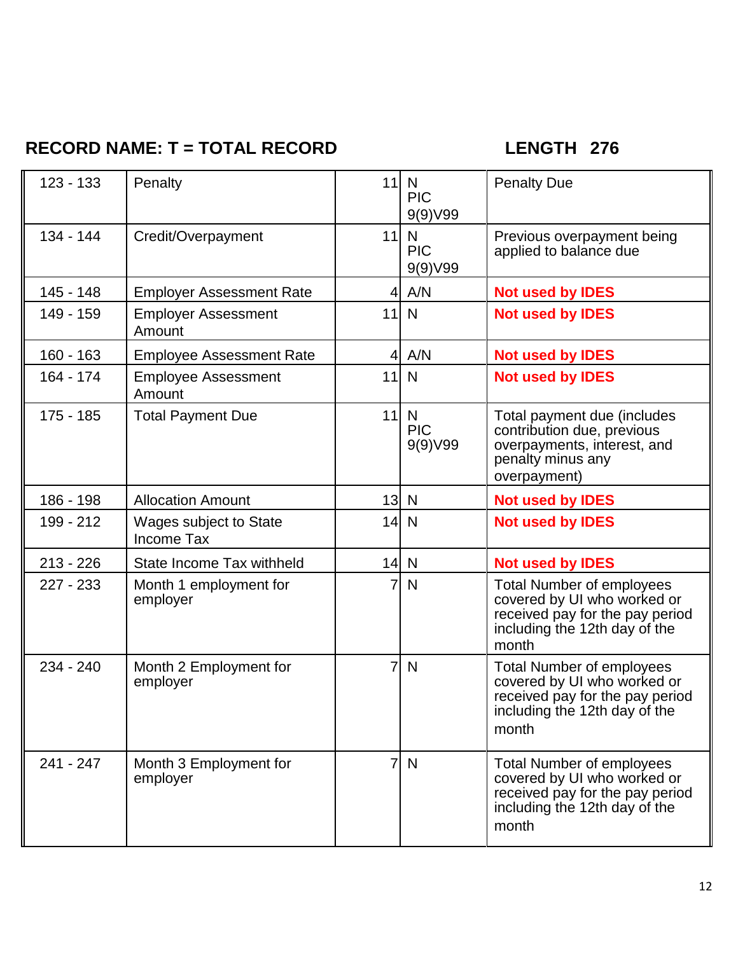## **RECORD NAME: T = TOTAL RECORD LENGTH 276**

| $123 - 133$ | Penalty                              | 11             | N<br><b>PIC</b><br>9(9)V99  | <b>Penalty Due</b>                                                                                                                           |
|-------------|--------------------------------------|----------------|-----------------------------|----------------------------------------------------------------------------------------------------------------------------------------------|
| 134 - 144   | Credit/Overpayment                   | 11             | N<br><b>PIC</b><br>9(9) V99 | Previous overpayment being<br>applied to balance due                                                                                         |
| 145 - 148   | <b>Employer Assessment Rate</b>      | $\overline{4}$ | A/N                         | <b>Not used by IDES</b>                                                                                                                      |
| 149 - 159   | <b>Employer Assessment</b><br>Amount | 11             | $\mathsf{N}$                | <b>Not used by IDES</b>                                                                                                                      |
| $160 - 163$ | <b>Employee Assessment Rate</b>      | $\overline{4}$ | A/N                         | <b>Not used by IDES</b>                                                                                                                      |
| 164 - 174   | <b>Employee Assessment</b><br>Amount | 11             | N                           | <b>Not used by IDES</b>                                                                                                                      |
| 175 - 185   | <b>Total Payment Due</b>             | 11             | N<br><b>PIC</b><br>9(9) V99 | Total payment due (includes<br>contribution due, previous<br>overpayments, interest, and<br>penalty minus any<br>overpayment)                |
| 186 - 198   | <b>Allocation Amount</b>             |                | $13$ N                      | <b>Not used by IDES</b>                                                                                                                      |
| 199 - 212   | Wages subject to State<br>Income Tax |                | $14$ N                      | <b>Not used by IDES</b>                                                                                                                      |
| $213 - 226$ | State Income Tax withheld            | 14             | N                           | <b>Not used by IDES</b>                                                                                                                      |
| $227 - 233$ | Month 1 employment for<br>employer   | 7              | $\mathsf{N}$                | <b>Total Number of employees</b><br>covered by UI who worked or<br>received pay for the pay period<br>including the 12th day of the<br>month |
| $234 - 240$ | Month 2 Employment for<br>employer   | 7              | N                           | <b>Total Number of employees</b><br>covered by UI who worked or<br>received pay for the pay period<br>including the 12th day of the<br>month |
| $241 - 247$ | Month 3 Employment for<br>employer   | $\overline{7}$ | $\mathsf{N}$                | <b>Total Number of employees</b><br>covered by UI who worked or<br>received pay for the pay period<br>including the 12th day of the<br>month |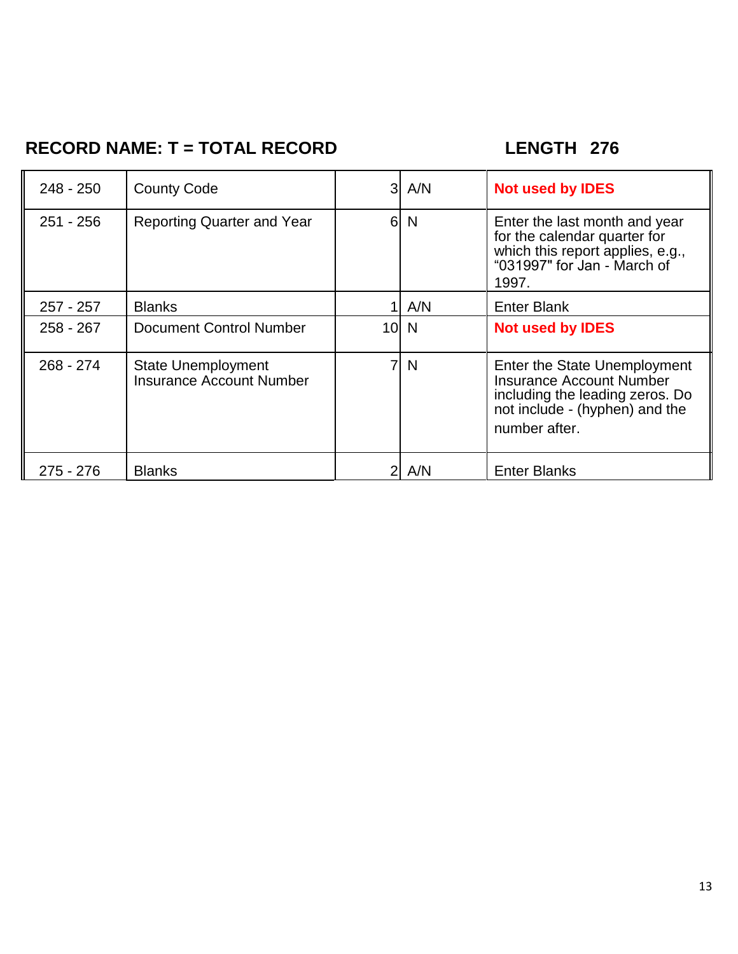## **RECORD NAME: T = TOTAL RECORD LENGTH 276**

| $248 - 250$ | <b>County Code</b>                                           | 31             | A/N         | <b>Not used by IDES</b>                                                                                                                        |
|-------------|--------------------------------------------------------------|----------------|-------------|------------------------------------------------------------------------------------------------------------------------------------------------|
| $251 - 256$ | <b>Reporting Quarter and Year</b>                            | 6 <sup>1</sup> | N           | Enter the last month and year<br>for the calendar quarter for<br>which this report applies, e.g.,<br>"031997" for Jan - March of<br>1997.      |
| $257 - 257$ | <b>Blanks</b>                                                |                | A/N         | <b>Enter Blank</b>                                                                                                                             |
| $258 - 267$ | <b>Document Control Number</b>                               |                | $10\vert N$ | <b>Not used by IDES</b>                                                                                                                        |
| $268 - 274$ | <b>State Unemployment</b><br><b>Insurance Account Number</b> | 7              | N           | Enter the State Unemployment<br>Insurance Account Number<br>including the leading zeros. Do<br>not include - (hyphen) and the<br>number after. |
| $275 - 276$ | <b>Blanks</b>                                                |                | A/N         | <b>Enter Blanks</b>                                                                                                                            |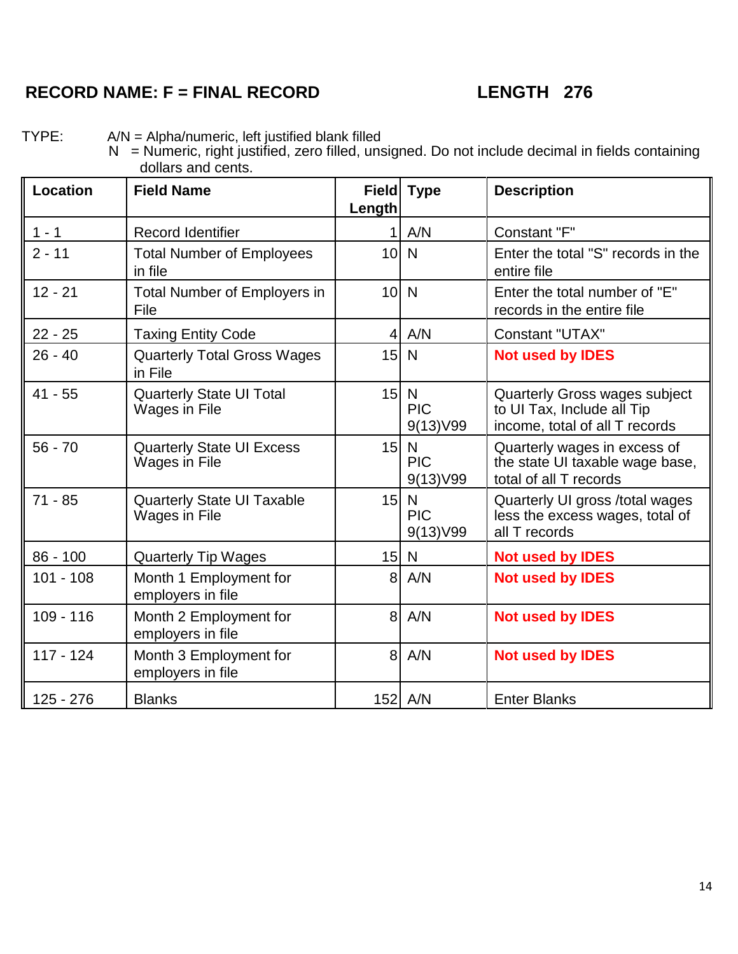## **RECORD NAME: F = FINAL RECORD LENGTH 276**

TYPE: A/N = Alpha/numeric, left justified blank filled

N = Numeric, right justified, zero filled, unsigned. Do not include decimal in fields containing dollars and cents.

| <b>Location</b> | <b>Field Name</b>                                  | Length          | Field Type                        | <b>Description</b>                                                                            |
|-----------------|----------------------------------------------------|-----------------|-----------------------------------|-----------------------------------------------------------------------------------------------|
| $1 - 1$         | <b>Record Identifier</b>                           | 11              | A/N                               | Constant "F"                                                                                  |
| $2 - 11$        | <b>Total Number of Employees</b><br>in file        |                 | $10$ N                            | Enter the total "S" records in the<br>entire file                                             |
| $12 - 21$       | Total Number of Employers in<br>File               |                 | $10$ N                            | Enter the total number of "E"<br>records in the entire file                                   |
| $22 - 25$       | <b>Taxing Entity Code</b>                          | 4 <sup>1</sup>  | A/N                               | Constant "UTAX"                                                                               |
| $26 - 40$       | <b>Quarterly Total Gross Wages</b><br>in File      | 15              | N                                 | <b>Not used by IDES</b>                                                                       |
| $41 - 55$       | <b>Quarterly State UI Total</b><br>Wages in File   |                 | $15$ N<br><b>PIC</b><br>9(13) V99 | Quarterly Gross wages subject<br>to UI Tax, Include all Tip<br>income, total of all T records |
| $56 - 70$       | <b>Quarterly State UI Excess</b><br>Wages in File  | 15 <sub>l</sub> | N<br><b>PIC</b><br>9(13) V99      | Quarterly wages in excess of<br>the state UI taxable wage base,<br>total of all T records     |
| $71 - 85$       | <b>Quarterly State UI Taxable</b><br>Wages in File | 15              | N<br><b>PIC</b><br>9(13) V99      | Quarterly UI gross /total wages<br>less the excess wages, total of<br>all T records           |
| $86 - 100$      | <b>Quarterly Tip Wages</b>                         | 15 <sup>1</sup> | N                                 | <b>Not used by IDES</b>                                                                       |
| $101 - 108$     | Month 1 Employment for<br>employers in file        | 8 <sup>1</sup>  | A/N                               | <b>Not used by IDES</b>                                                                       |
| $109 - 116$     | Month 2 Employment for<br>employers in file        | 8 <sup>1</sup>  | A/N                               | <b>Not used by IDES</b>                                                                       |
| $117 - 124$     | Month 3 Employment for<br>employers in file        | 8 <sup>1</sup>  | A/N                               | <b>Not used by IDES</b>                                                                       |
| $125 - 276$     | <b>Blanks</b>                                      |                 | 152 A/N                           | <b>Enter Blanks</b>                                                                           |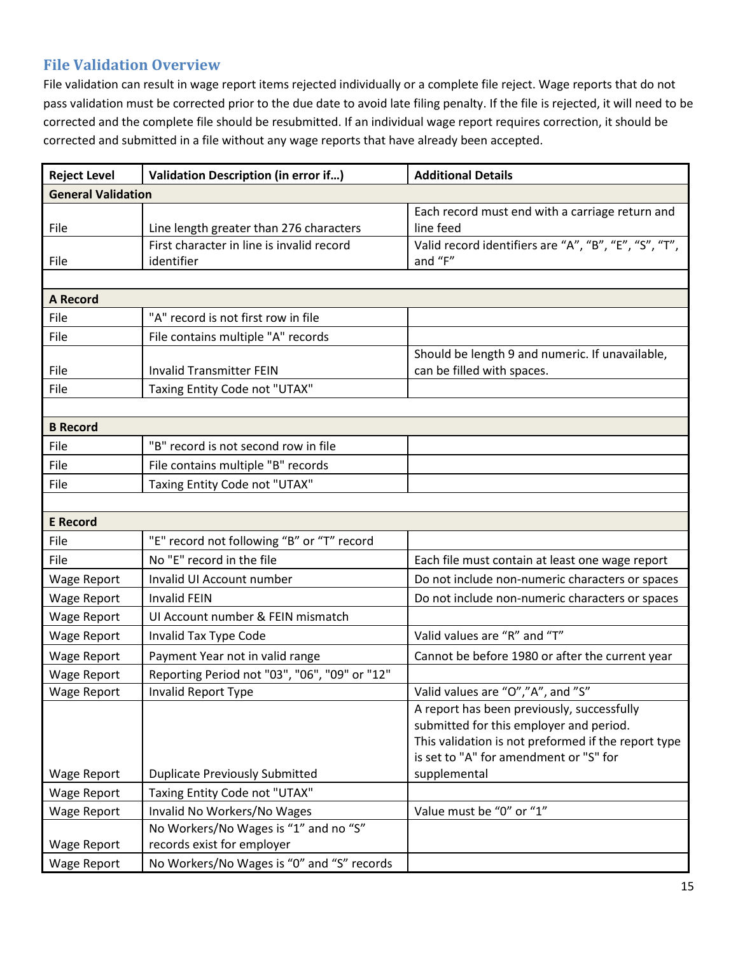### **File Validation Overview**

File validation can result in wage report items rejected individually or a complete file reject. Wage reports that do not pass validation must be corrected prior to the due date to avoid late filing penalty. If the file is rejected, it will need to be corrected and the complete file should be resubmitted. If an individual wage report requires correction, it should be corrected and submitted in a file without any wage reports that have already been accepted.

| <b>Reject Level</b>       | <b>Validation Description (in error if)</b>                         | <b>Additional Details</b>                             |  |  |
|---------------------------|---------------------------------------------------------------------|-------------------------------------------------------|--|--|
| <b>General Validation</b> |                                                                     |                                                       |  |  |
|                           |                                                                     | Each record must end with a carriage return and       |  |  |
| File                      | Line length greater than 276 characters                             | line feed                                             |  |  |
|                           | First character in line is invalid record                           | Valid record identifiers are "A", "B", "E", "S", "T", |  |  |
| File                      | identifier                                                          | and "F"                                               |  |  |
|                           |                                                                     |                                                       |  |  |
| <b>A Record</b>           |                                                                     |                                                       |  |  |
| File                      | "A" record is not first row in file                                 |                                                       |  |  |
| File                      | File contains multiple "A" records                                  |                                                       |  |  |
|                           |                                                                     | Should be length 9 and numeric. If unavailable,       |  |  |
| File                      | <b>Invalid Transmitter FEIN</b>                                     | can be filled with spaces.                            |  |  |
| File                      | Taxing Entity Code not "UTAX"                                       |                                                       |  |  |
|                           |                                                                     |                                                       |  |  |
| <b>B</b> Record           |                                                                     |                                                       |  |  |
| File                      | "B" record is not second row in file                                |                                                       |  |  |
| File                      | File contains multiple "B" records                                  |                                                       |  |  |
| File                      | Taxing Entity Code not "UTAX"                                       |                                                       |  |  |
|                           |                                                                     |                                                       |  |  |
| <b>E</b> Record           |                                                                     |                                                       |  |  |
| File                      | "E" record not following "B" or "T" record                          |                                                       |  |  |
| File                      | No "E" record in the file                                           | Each file must contain at least one wage report       |  |  |
| <b>Wage Report</b>        | Invalid UI Account number                                           | Do not include non-numeric characters or spaces       |  |  |
| <b>Wage Report</b>        | <b>Invalid FEIN</b>                                                 | Do not include non-numeric characters or spaces       |  |  |
| <b>Wage Report</b>        | UI Account number & FEIN mismatch                                   |                                                       |  |  |
| <b>Wage Report</b>        | Invalid Tax Type Code                                               | Valid values are "R" and "T"                          |  |  |
| <b>Wage Report</b>        | Payment Year not in valid range                                     | Cannot be before 1980 or after the current year       |  |  |
| <b>Wage Report</b>        | Reporting Period not "03", "06", "09" or "12"                       |                                                       |  |  |
| <b>Wage Report</b>        | Invalid Report Type                                                 | Valid values are "O","A", and "S"                     |  |  |
|                           |                                                                     | A report has been previously, successfully            |  |  |
|                           |                                                                     | submitted for this employer and period.               |  |  |
|                           |                                                                     | This validation is not preformed if the report type   |  |  |
|                           |                                                                     | is set to "A" for amendment or "S" for                |  |  |
| Wage Report               | <b>Duplicate Previously Submitted</b>                               | supplemental                                          |  |  |
| Wage Report               | Taxing Entity Code not "UTAX"                                       |                                                       |  |  |
| Wage Report               | Invalid No Workers/No Wages                                         | Value must be "0" or "1"                              |  |  |
|                           | No Workers/No Wages is "1" and no "S"<br>records exist for employer |                                                       |  |  |
| <b>Wage Report</b>        |                                                                     |                                                       |  |  |
| Wage Report               | No Workers/No Wages is "0" and "S" records                          |                                                       |  |  |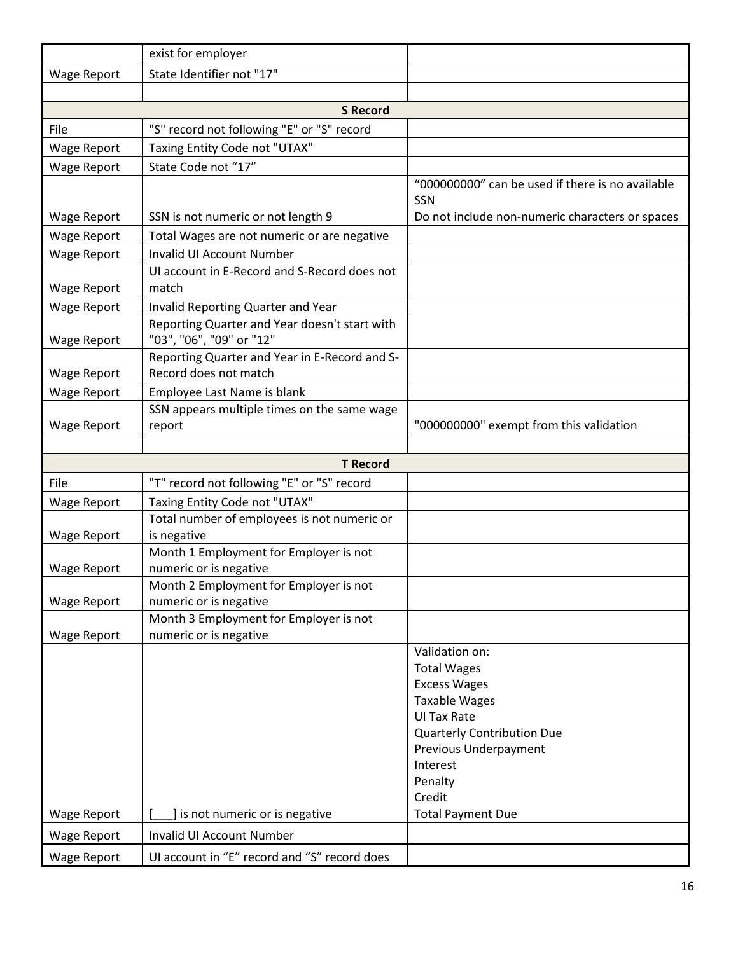|                                          | exist for employer                                                        |                                                  |  |  |
|------------------------------------------|---------------------------------------------------------------------------|--------------------------------------------------|--|--|
| Wage Report                              | State Identifier not "17"                                                 |                                                  |  |  |
|                                          |                                                                           |                                                  |  |  |
| <b>S Record</b>                          |                                                                           |                                                  |  |  |
| File                                     | "S" record not following "E" or "S" record                                |                                                  |  |  |
| Wage Report                              | Taxing Entity Code not "UTAX"                                             |                                                  |  |  |
| <b>Wage Report</b>                       | State Code not "17"                                                       |                                                  |  |  |
|                                          |                                                                           | "000000000" can be used if there is no available |  |  |
|                                          |                                                                           | SSN                                              |  |  |
| Wage Report                              | SSN is not numeric or not length 9                                        | Do not include non-numeric characters or spaces  |  |  |
| Wage Report                              | Total Wages are not numeric or are negative                               |                                                  |  |  |
| <b>Wage Report</b>                       | <b>Invalid UI Account Number</b>                                          |                                                  |  |  |
|                                          | UI account in E-Record and S-Record does not                              |                                                  |  |  |
| Wage Report                              | match                                                                     |                                                  |  |  |
| Wage Report                              | Invalid Reporting Quarter and Year                                        |                                                  |  |  |
|                                          | Reporting Quarter and Year doesn't start with                             |                                                  |  |  |
| Wage Report                              | "03", "06", "09" or "12"<br>Reporting Quarter and Year in E-Record and S- |                                                  |  |  |
| Wage Report                              | Record does not match                                                     |                                                  |  |  |
| Wage Report                              | Employee Last Name is blank                                               |                                                  |  |  |
|                                          | SSN appears multiple times on the same wage                               |                                                  |  |  |
| <b>Wage Report</b>                       | report                                                                    | "000000000" exempt from this validation          |  |  |
|                                          |                                                                           |                                                  |  |  |
|                                          | <b>T</b> Record                                                           |                                                  |  |  |
| File                                     | "T" record not following "E" or "S" record                                |                                                  |  |  |
| Wage Report                              | Taxing Entity Code not "UTAX"                                             |                                                  |  |  |
|                                          | Total number of employees is not numeric or                               |                                                  |  |  |
| Wage Report                              | is negative                                                               |                                                  |  |  |
|                                          | Month 1 Employment for Employer is not                                    |                                                  |  |  |
| Wage Report                              | numeric or is negative                                                    |                                                  |  |  |
|                                          | Month 2 Employment for Employer is not                                    |                                                  |  |  |
| <b>Wage Report</b>                       |                                                                           |                                                  |  |  |
|                                          | numeric or is negative                                                    |                                                  |  |  |
|                                          | Month 3 Employment for Employer is not                                    |                                                  |  |  |
| <b>Wage Report</b>                       | numeric or is negative                                                    | Validation on:                                   |  |  |
|                                          |                                                                           | <b>Total Wages</b>                               |  |  |
|                                          |                                                                           | <b>Excess Wages</b>                              |  |  |
|                                          |                                                                           | <b>Taxable Wages</b>                             |  |  |
|                                          |                                                                           | <b>UI Tax Rate</b>                               |  |  |
|                                          |                                                                           | <b>Quarterly Contribution Due</b>                |  |  |
|                                          |                                                                           | Previous Underpayment                            |  |  |
|                                          |                                                                           | Interest                                         |  |  |
|                                          |                                                                           | Penalty                                          |  |  |
|                                          |                                                                           | Credit                                           |  |  |
| <b>Wage Report</b>                       | is not numeric or is negative                                             | <b>Total Payment Due</b>                         |  |  |
| <b>Wage Report</b><br><b>Wage Report</b> | Invalid UI Account Number<br>UI account in "E" record and "S" record does |                                                  |  |  |